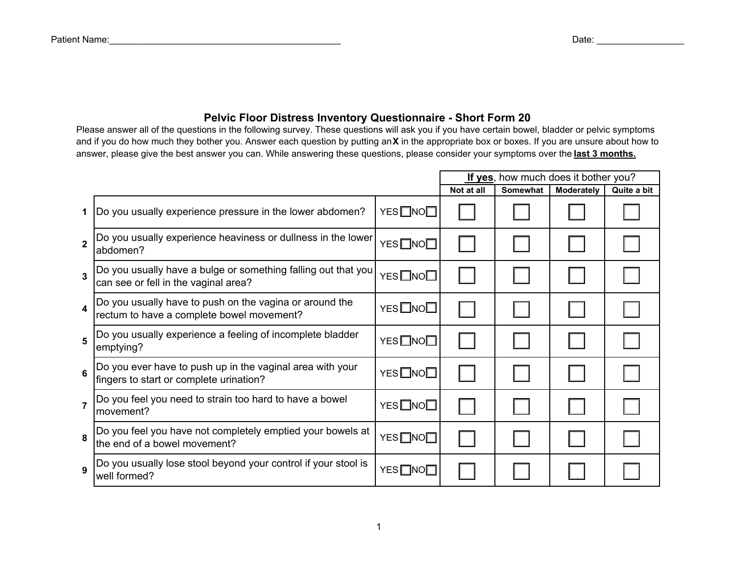## **Pelvic Floor Distress Inventory Questionnaire - Short Form 20**

Please answer all of the questions in the following survey. These questions will ask you if you have certain bowel, bladder or pelvic symptoms and if you do how much they bother you. Answer each question by putting an **X** in the appropriate box or boxes. If you are unsure about how to answer, please give the best answer you can. While answering these questions, please consider your symptoms over the **last 3 months.**

|                         |                                                                                                       |                   | If yes, how much does it bother you? |                 |                   |             |
|-------------------------|-------------------------------------------------------------------------------------------------------|-------------------|--------------------------------------|-----------------|-------------------|-------------|
|                         |                                                                                                       |                   | Not at all                           | <b>Somewhat</b> | <b>Moderately</b> | Quite a bit |
|                         | Do you usually experience pressure in the lower abdomen?                                              | YES□NO□           |                                      |                 |                   |             |
| $\overline{2}$          | Do you usually experience heaviness or dullness in the lower<br>abdomen?                              | YES□NO□           |                                      |                 |                   |             |
| $\overline{3}$          | Do you usually have a bulge or something falling out that you<br>can see or fell in the vaginal area? | YES□NO□           |                                      |                 |                   |             |
| $\overline{\mathbf{4}}$ | Do you usually have to push on the vagina or around the<br>rectum to have a complete bowel movement?  | YES□NO□           |                                      |                 |                   |             |
| 5                       | Do you usually experience a feeling of incomplete bladder<br>emptying?                                | YES□NO□           |                                      |                 |                   |             |
| 6                       | Do you ever have to push up in the vaginal area with your<br>fingers to start or complete urination?  | YES□NO□           |                                      |                 |                   |             |
| $\overline{7}$          | Do you feel you need to strain too hard to have a bowel<br>movement?                                  | YES□NO□           |                                      |                 |                   |             |
| 8                       | Do you feel you have not completely emptied your bowels at<br>the end of a bowel movement?            | YES□NO□           |                                      |                 |                   |             |
| $\mathbf{q}$            | Do you usually lose stool beyond your control if your stool is<br>well formed?                        | YES <sub>NO</sub> |                                      |                 |                   |             |